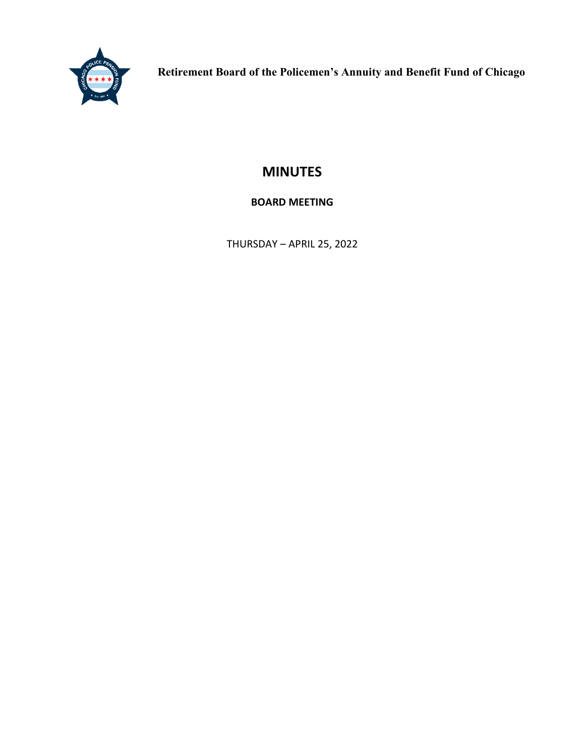

**Retirement Board of the Policemen's Annuity and Benefit Fund of Chicago**

# **MINUTES**

# **BOARD MEETING**

THURSDAY – APRIL 25, 2022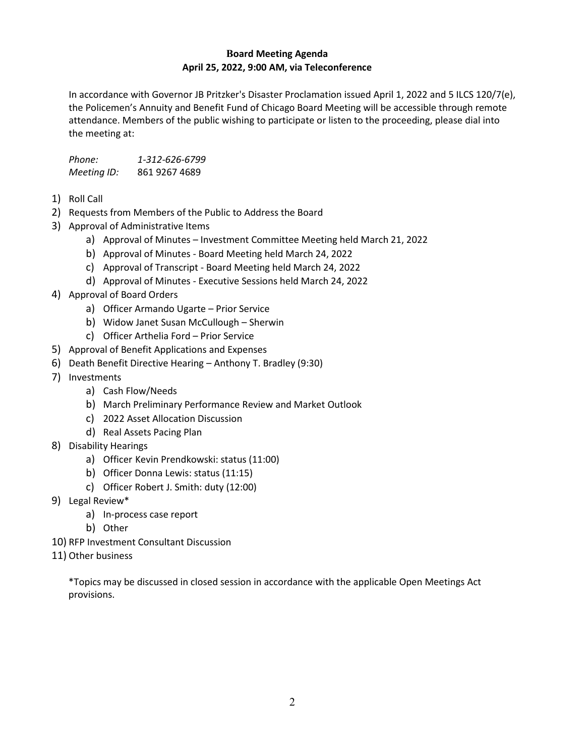# **Board Meeting Agenda April 25, 2022, 9:00 AM, via Teleconference**

In accordance with Governor JB Pritzker's Disaster Proclamation issued April 1, 2022 and 5 ILCS 120/7(e), the Policemen's Annuity and Benefit Fund of Chicago Board Meeting will be accessible through remote attendance. Members of the public wishing to participate or listen to the proceeding, please dial into the meeting at:

| Phone:      | 1-312-626-6799 |
|-------------|----------------|
| Meeting ID: | 861 9267 4689  |

- 1) Roll Call
- 2) Requests from Members of the Public to Address the Board
- 3) Approval of Administrative Items
	- a) Approval of Minutes Investment Committee Meeting held March 21, 2022
	- b) Approval of Minutes Board Meeting held March 24, 2022
	- c) Approval of Transcript Board Meeting held March 24, 2022
	- d) Approval of Minutes Executive Sessions held March 24, 2022
- 4) Approval of Board Orders
	- a) Officer Armando Ugarte Prior Service
	- b) Widow Janet Susan McCullough Sherwin
	- c) Officer Arthelia Ford Prior Service
- 5) Approval of Benefit Applications and Expenses
- 6) Death Benefit Directive Hearing Anthony T. Bradley (9:30)
- 7) Investments
	- a) Cash Flow/Needs
	- b) March Preliminary Performance Review and Market Outlook
	- c) 2022 Asset Allocation Discussion
	- d) Real Assets Pacing Plan
- 8) Disability Hearings
	- a) Officer Kevin Prendkowski: status (11:00)
	- b) Officer Donna Lewis: status (11:15)
	- c) Officer Robert J. Smith: duty (12:00)
- 9) Legal Review\*
	- a) In-process case report
	- b) Other
- 10) RFP Investment Consultant Discussion
- 11) Other business

\*Topics may be discussed in closed session in accordance with the applicable Open Meetings Act provisions.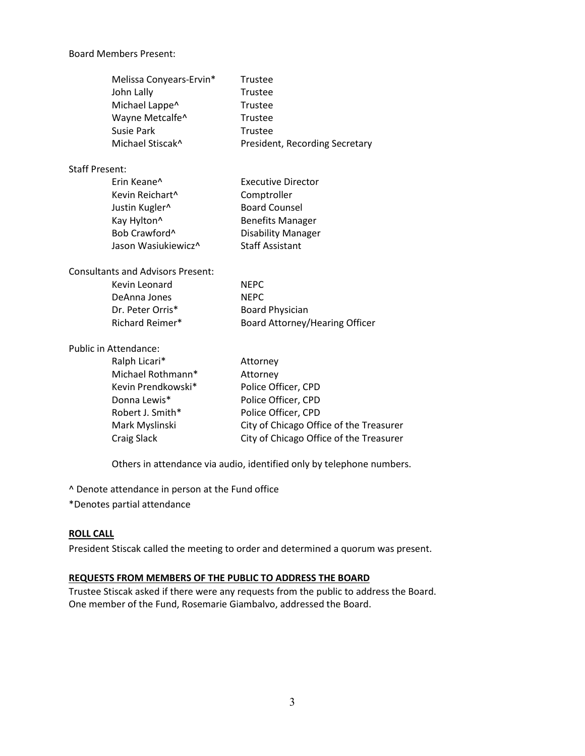#### Board Members Present:

| Melissa Conyears-Ervin*<br>John Lally<br>Michael Lappe^<br>Wayne Metcalfe^<br><b>Susie Park</b><br>Michael Stiscak <sup>^</sup> | Trustee<br>Trustee<br>Trustee<br>Trustee<br>Trustee<br>President, Recording Secretary |
|---------------------------------------------------------------------------------------------------------------------------------|---------------------------------------------------------------------------------------|
| <b>Staff Present:</b>                                                                                                           |                                                                                       |
| Erin Keane <sup>^</sup>                                                                                                         | <b>Executive Director</b>                                                             |
| Kevin Reichart^                                                                                                                 | Comptroller                                                                           |
| Justin Kugler^                                                                                                                  | <b>Board Counsel</b>                                                                  |
| Kay Hylton <sup>^</sup>                                                                                                         | <b>Benefits Manager</b>                                                               |
| Bob Crawford^                                                                                                                   | <b>Disability Manager</b>                                                             |
| Jason Wasiukiewicz^                                                                                                             | <b>Staff Assistant</b>                                                                |
| <b>Consultants and Advisors Present:</b>                                                                                        |                                                                                       |
| Kevin Leonard                                                                                                                   | <b>NEPC</b>                                                                           |
| DeAnna Jones                                                                                                                    | <b>NEPC</b>                                                                           |
| Dr. Peter Orris*                                                                                                                | <b>Board Physician</b>                                                                |
| Richard Reimer*                                                                                                                 | Board Attorney/Hearing Officer                                                        |
| Public in Attendance:                                                                                                           |                                                                                       |
| Ralph Licari*                                                                                                                   | Attorney                                                                              |
| Michael Rothmann*                                                                                                               | Attorney                                                                              |
| Kevin Prendkowski*                                                                                                              | Police Officer, CPD                                                                   |
| Donna Lewis*                                                                                                                    | Police Officer, CPD                                                                   |
| Robert J. Smith*                                                                                                                | Police Officer, CPD                                                                   |
| Mark Myslinski                                                                                                                  | City of Chicago Office of the Treasurer                                               |
| <b>Craig Slack</b>                                                                                                              | City of Chicago Office of the Treasurer                                               |

Others in attendance via audio, identified only by telephone numbers.

^ Denote attendance in person at the Fund office

\*Denotes partial attendance

#### **ROLL CALL**

President Stiscak called the meeting to order and determined a quorum was present.

#### **REQUESTS FROM MEMBERS OF THE PUBLIC TO ADDRESS THE BOARD**

Trustee Stiscak asked if there were any requests from the public to address the Board. One member of the Fund, Rosemarie Giambalvo, addressed the Board.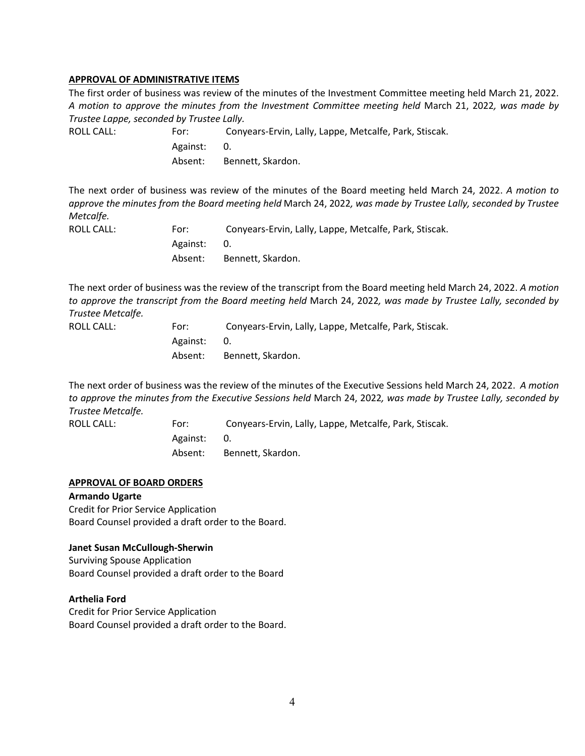#### **APPROVAL OF ADMINISTRATIVE ITEMS**

The first order of business was review of the minutes of the Investment Committee meeting held March 21, 2022. *A motion to approve the minutes from the Investment Committee meeting held* March 21, 2022*, was made by Trustee Lappe, seconded by Trustee Lally.*

ROLL CALL: For: Conyears-Ervin, Lally, Lappe, Metcalfe, Park, Stiscak. Against: 0. Absent: Bennett, Skardon.

The next order of business was review of the minutes of the Board meeting held March 24, 2022. *A motion to approve the minutes from the Board meeting held* March 24, 2022*, was made by Trustee Lally, seconded by Trustee Metcalfe.*

| ROLL CALL: | For:        | Conyears-Ervin, Lally, Lappe, Metcalfe, Park, Stiscak. |
|------------|-------------|--------------------------------------------------------|
|            | Against: 0. |                                                        |
|            | Absent:     | Bennett. Skardon.                                      |

The next order of business was the review of the transcript from the Board meeting held March 24, 2022. *A motion to approve the transcript from the Board meeting held* March 24, 2022*, was made by Trustee Lally, seconded by Trustee Metcalfe.*

| ROLL CALL: | For:     | Conyears-Ervin, Lally, Lappe, Metcalfe, Park, Stiscak. |
|------------|----------|--------------------------------------------------------|
|            | Against: | 0.                                                     |
|            | Absent:  | Bennett, Skardon.                                      |

The next order of business was the review of the minutes of the Executive Sessions held March 24, 2022. *A motion to approve the minutes from the Executive Sessions held* March 24, 2022*, was made by Trustee Lally, seconded by Trustee Metcalfe.*

ROLL CALL: For: Conyears-Ervin, Lally, Lappe, Metcalfe, Park, Stiscak. Against: 0. Absent: Bennett, Skardon.

#### **APPROVAL OF BOARD ORDERS**

#### **Armando Ugarte**

Credit for Prior Service Application Board Counsel provided a draft order to the Board.

#### **Janet Susan McCullough-Sherwin**

Surviving Spouse Application Board Counsel provided a draft order to the Board

#### **Arthelia Ford**

Credit for Prior Service Application Board Counsel provided a draft order to the Board.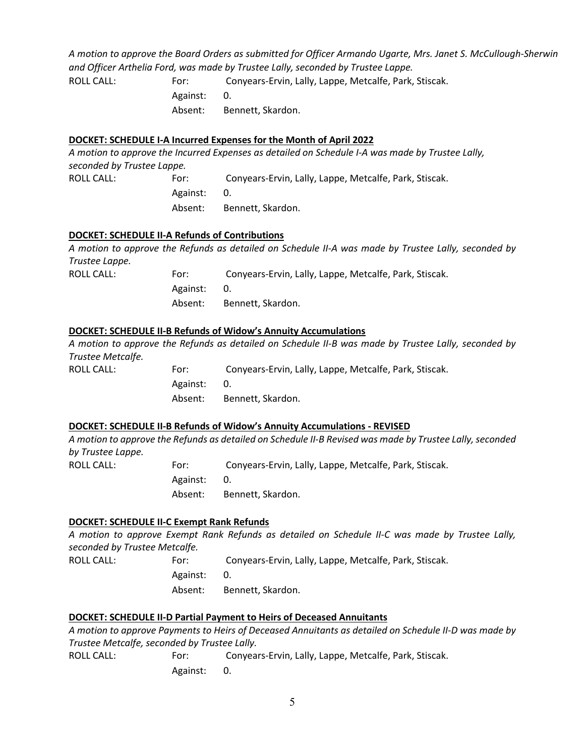*A motion to approve the Board Orders as submitted for Officer Armando Ugarte, Mrs. Janet S. McCullough-Sherwin and Officer Arthelia Ford, was made by Trustee Lally, seconded by Trustee Lappe.*

ROLL CALL: For: Conyears-Ervin, Lally, Lappe, Metcalfe, Park, Stiscak. Against: 0. Absent: Bennett, Skardon.

# **DOCKET: SCHEDULE I-A Incurred Expenses for the Month of April 2022**

*A motion to approve the Incurred Expenses as detailed on Schedule I-A was made by Trustee Lally, seconded by Trustee Lappe.* ROLL CALL: For: Conyears-Ervin, Lally, Lappe, Metcalfe, Park, Stiscak. Against: 0.

Absent: Bennett, Skardon.

# **DOCKET: SCHEDULE II-A Refunds of Contributions**

*A motion to approve the Refunds as detailed on Schedule II-A was made by Trustee Lally, seconded by Trustee Lappe.*

| ROLL CALL: | For:        | Conyears-Ervin, Lally, Lappe, Metcalfe, Park, Stiscak. |
|------------|-------------|--------------------------------------------------------|
|            | Against: 0. |                                                        |
|            | Absent:     | Bennett. Skardon.                                      |

# **DOCKET: SCHEDULE II-B Refunds of Widow's Annuity Accumulations**

*A motion to approve the Refunds as detailed on Schedule II-B was made by Trustee Lally, seconded by Trustee Metcalfe.*

| ROLL CALL: | For:     | Conyears-Ervin, Lally, Lappe, Metcalfe, Park, Stiscak. |
|------------|----------|--------------------------------------------------------|
|            | Against: | 0.                                                     |
|            |          | Absent: Bennett, Skardon.                              |
|            |          |                                                        |

# **DOCKET: SCHEDULE II-B Refunds of Widow's Annuity Accumulations - REVISED**

*A motion to approve the Refunds as detailed on Schedule II-B Revised was made by Trustee Lally, seconded by Trustee Lappe.*

| ROLL CALL: | For:        | Conyears-Ervin, Lally, Lappe, Metcalfe, Park, Stiscak. |
|------------|-------------|--------------------------------------------------------|
|            | Against: 0. |                                                        |
|            | Absent:     | Bennett, Skardon.                                      |

# **DOCKET: SCHEDULE II-C Exempt Rank Refunds**

*A motion to approve Exempt Rank Refunds as detailed on Schedule II-C was made by Trustee Lally, seconded by Trustee Metcalfe.*

| ROLL CALL: | For:        | Conyears-Ervin, Lally, Lappe, Metcalfe, Park, Stiscak. |
|------------|-------------|--------------------------------------------------------|
|            | Against: 0. |                                                        |
|            | Absent:     | Bennett. Skardon.                                      |

# **DOCKET: SCHEDULE II-D Partial Payment to Heirs of Deceased Annuitants**

*A motion to approve Payments to Heirs of Deceased Annuitants as detailed on Schedule II-D was made by Trustee Metcalfe, seconded by Trustee Lally.* ROLL CALL: For: Conyears-Ervin, Lally, Lappe, Metcalfe, Park, Stiscak. Against: 0.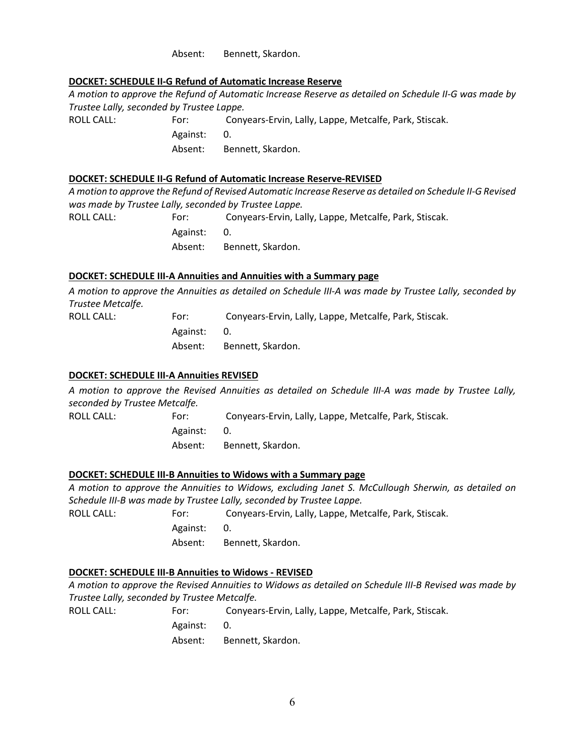Absent: Bennett, Skardon.

# **DOCKET: SCHEDULE II-G Refund of Automatic Increase Reserve**

*A motion to approve the Refund of Automatic Increase Reserve as detailed on Schedule II-G was made by Trustee Lally, seconded by Trustee Lappe.* ROLL CALL: For: Conyears-Ervin, Lally, Lappe, Metcalfe, Park, Stiscak. Against: 0. Absent: Bennett, Skardon.

# **DOCKET: SCHEDULE II-G Refund of Automatic Increase Reserve-REVISED**

*A motion to approve the Refund of Revised Automatic Increase Reserve as detailed on Schedule II-G Revised was made by Trustee Lally, seconded by Trustee Lappe.*

ROLL CALL: For: Conyears-Ervin, Lally, Lappe, Metcalfe, Park, Stiscak. Against: 0. Absent: Bennett, Skardon.

#### **DOCKET: SCHEDULE III-A Annuities and Annuities with a Summary page**

*A motion to approve the Annuities as detailed on Schedule III-A was made by Trustee Lally, seconded by Trustee Metcalfe.*

| ROLL CALL: | For:        | Conyears-Ervin, Lally, Lappe, Metcalfe, Park, Stiscak. |
|------------|-------------|--------------------------------------------------------|
|            | Against: 0. |                                                        |
|            | Absent:     | Bennett. Skardon.                                      |

#### **DOCKET: SCHEDULE III-A Annuities REVISED**

*A motion to approve the Revised Annuities as detailed on Schedule III-A was made by Trustee Lally, seconded by Trustee Metcalfe.*

| ROLL CALL: | For:        | Conyears-Ervin, Lally, Lappe, Metcalfe, Park, Stiscak. |
|------------|-------------|--------------------------------------------------------|
|            | Against: 0. |                                                        |
|            | Absent:     | Bennett. Skardon.                                      |

# **DOCKET: SCHEDULE III-B Annuities to Widows with a Summary page**

*A motion to approve the Annuities to Widows, excluding Janet S. McCullough Sherwin, as detailed on Schedule III-B was made by Trustee Lally, seconded by Trustee Lappe.*

| ROLL CALL: | For:     | Conyears-Ervin, Lally, Lappe, Metcalfe, Park, Stiscak. |
|------------|----------|--------------------------------------------------------|
|            | Against: | <b>Ο.</b>                                              |
|            | Absent:  | Bennett, Skardon.                                      |

# **DOCKET: SCHEDULE III-B Annuities to Widows - REVISED**

ROLL CALL:

*A motion to approve the Revised Annuities to Widows as detailed on Schedule III-B Revised was made by Trustee Lally, seconded by Trustee Metcalfe.*

| For:     | Conyears-Ervin, Lally, Lappe, Metcalfe, Park, Stiscak. |
|----------|--------------------------------------------------------|
| Against: | 0.                                                     |
| Absent:  | Bennett, Skardon.                                      |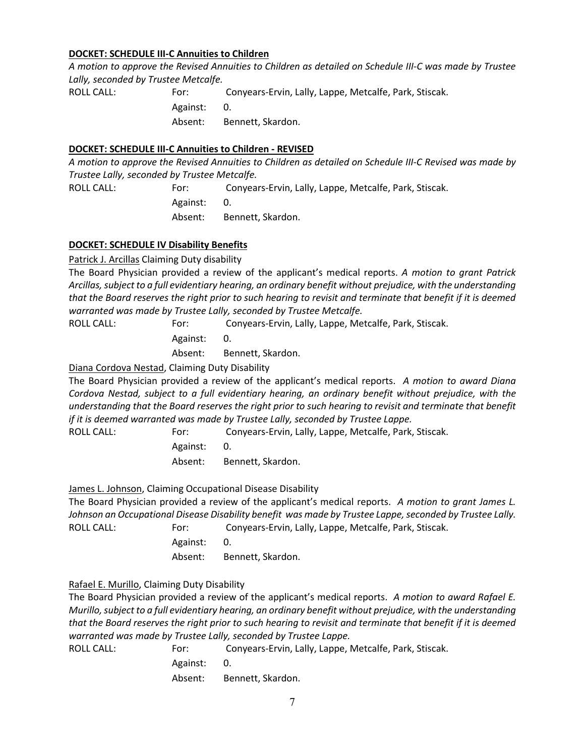# **DOCKET: SCHEDULE III-C Annuities to Children**

*A motion to approve the Revised Annuities to Children as detailed on Schedule III-C was made by Trustee Lally, seconded by Trustee Metcalfe.*

ROLL CALL: For: Conyears-Ervin, Lally, Lappe, Metcalfe, Park, Stiscak. Against: 0. Absent: Bennett, Skardon.

#### **DOCKET: SCHEDULE III-C Annuities to Children - REVISED**

*A motion to approve the Revised Annuities to Children as detailed on Schedule III-C Revised was made by Trustee Lally, seconded by Trustee Metcalfe.*

ROLL CALL: For: Conyears-Ervin, Lally, Lappe, Metcalfe, Park, Stiscak. Against: 0.

Absent: Bennett, Skardon.

#### **DOCKET: SCHEDULE IV Disability Benefits**

Patrick J. Arcillas Claiming Duty disability

The Board Physician provided a review of the applicant's medical reports. *A motion to grant Patrick Arcillas, subject to a full evidentiary hearing, an ordinary benefit without prejudice, with the understanding that the Board reserves the right prior to such hearing to revisit and terminate that benefit if it is deemed warranted was made by Trustee Lally, seconded by Trustee Metcalfe.*

ROLL CALL: For: Conyears-Ervin, Lally, Lappe, Metcalfe, Park, Stiscak. Against: 0. Absent: Bennett, Skardon.

Diana Cordova Nestad, Claiming Duty Disability

The Board Physician provided a review of the applicant's medical reports. *A motion to award Diana Cordova Nestad, subject to a full evidentiary hearing, an ordinary benefit without prejudice, with the understanding that the Board reserves the right prior to such hearing to revisit and terminate that benefit if it is deemed warranted was made by Trustee Lally, seconded by Trustee Lappe.*

ROLL CALL: For: Conyears-Ervin, Lally, Lappe, Metcalfe, Park, Stiscak. Against: 0. Absent: Bennett, Skardon.

James L. Johnson, Claiming Occupational Disease Disability

The Board Physician provided a review of the applicant's medical reports. *A motion to grant James L. Johnson an Occupational Disease Disability benefit was made by Trustee Lappe, seconded by Trustee Lally.* ROLL CALL: For: Conyears-Ervin, Lally, Lappe, Metcalfe, Park, Stiscak.

Against: 0.

Absent: Bennett, Skardon.

# Rafael E. Murillo, Claiming Duty Disability

The Board Physician provided a review of the applicant's medical reports. *A motion to award Rafael E. Murillo, subject to a full evidentiary hearing, an ordinary benefit without prejudice, with the understanding that the Board reserves the right prior to such hearing to revisit and terminate that benefit if it is deemed warranted was made by Trustee Lally, seconded by Trustee Lappe.*

ROLL CALL: For: Conyears-Ervin, Lally, Lappe, Metcalfe, Park, Stiscak. Against: 0. Absent: Bennett, Skardon.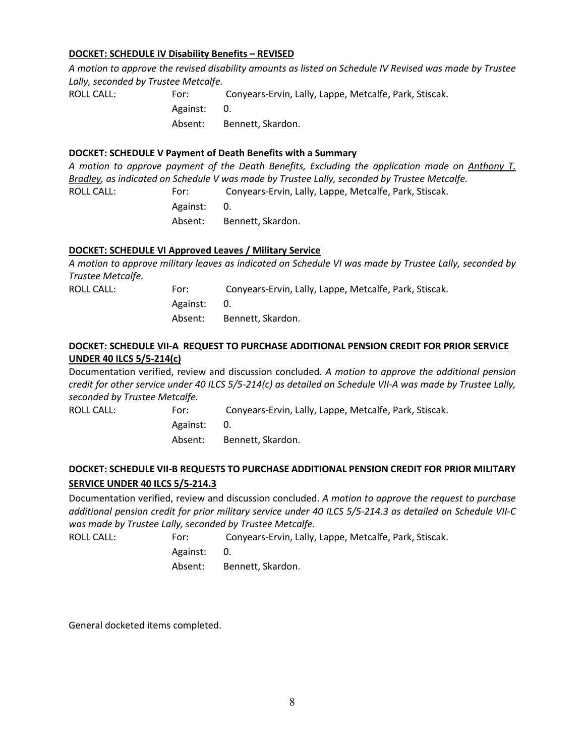#### **DOCKET: SCHEDULE IV Disability Benefits – REVISED**

*A motion to approve the revised disability amounts as listed on Schedule IV Revised was made by Trustee Lally, seconded by Trustee Metcalfe.*

ROLL CALL: For: Conyears-Ervin, Lally, Lappe, Metcalfe, Park, Stiscak. Against: 0. Absent: Bennett, Skardon.

#### **DOCKET: SCHEDULE V Payment of Death Benefits with a Summary**

*A motion to approve payment of the Death Benefits, Excluding the application made on Anthony T. Bradley, as indicated on Schedule V was made by Trustee Lally, seconded by Trustee Metcalfe.*

ROLL CALL: For: Conyears-Ervin, Lally, Lappe, Metcalfe, Park, Stiscak. Against: 0. Absent: Bennett, Skardon.

# **DOCKET: SCHEDULE VI Approved Leaves / Military Service**

*A motion to approve military leaves as indicated on Schedule VI was made by Trustee Lally, seconded by Trustee Metcalfe.* ROLL CALL: For: Conyears-Ervin, Lally, Lappe, Metcalfe, Park, Stiscak. Against: 0.

Absent: Bennett, Skardon.

# **DOCKET: SCHEDULE VII-A REQUEST TO PURCHASE ADDITIONAL PENSION CREDIT FOR PRIOR SERVICE UNDER 40 ILCS 5/5-214(c)**

Documentation verified, review and discussion concluded. *A motion to approve the additional pension credit for other service under 40 ILCS 5/5-214(c) as detailed on Schedule VII-A was made by Trustee Lally, seconded by Trustee Metcalfe.*

| ROLL CALL: | For:        | Conyears-Ervin, Lally, Lappe, Metcalfe, Park, Stiscak. |
|------------|-------------|--------------------------------------------------------|
|            | Against: 0. |                                                        |
|            | Absent:     | Bennett, Skardon.                                      |

# **DOCKET: SCHEDULE VII-B REQUESTS TO PURCHASE ADDITIONAL PENSION CREDIT FOR PRIOR MILITARY SERVICE UNDER 40 ILCS 5/5-214.3**

Documentation verified, review and discussion concluded. *A motion to approve the request to purchase additional pension credit for prior military service under 40 ILCS 5/5-214.3 as detailed on Schedule VII-C was made by Trustee Lally, seconded by Trustee Metcalfe.*

ROLL CALL: For: Conyears-Ervin, Lally, Lappe, Metcalfe, Park, Stiscak. Against: 0. Absent: Bennett, Skardon.

General docketed items completed.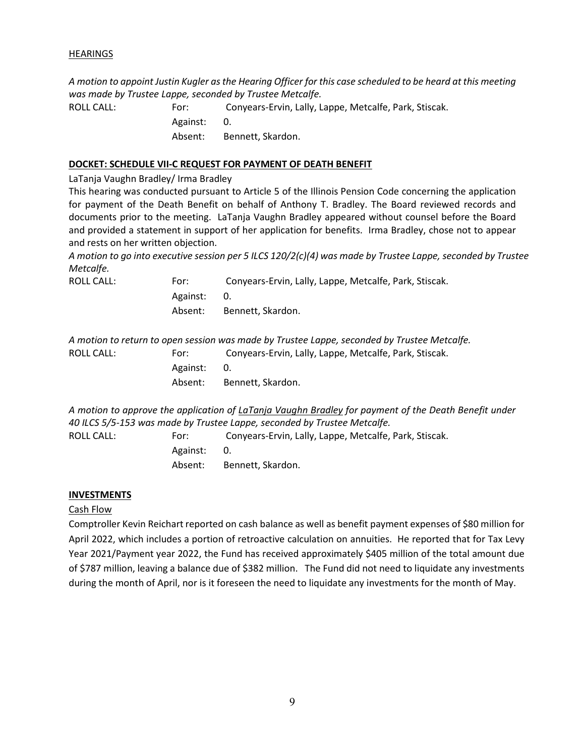#### **HEARINGS**

*A motion to appoint Justin Kugler as the Hearing Officer for this case scheduled to be heard at this meeting was made by Trustee Lappe, seconded by Trustee Metcalfe.*

ROLL CALL: For: Conyears-Ervin, Lally, Lappe, Metcalfe, Park, Stiscak. Against: 0. Absent: Bennett, Skardon.

#### **DOCKET: SCHEDULE VII-C REQUEST FOR PAYMENT OF DEATH BENEFIT**

LaTanja Vaughn Bradley/ Irma Bradley

This hearing was conducted pursuant to Article 5 of the Illinois Pension Code concerning the application for payment of the Death Benefit on behalf of Anthony T. Bradley. The Board reviewed records and documents prior to the meeting. LaTanja Vaughn Bradley appeared without counsel before the Board and provided a statement in support of her application for benefits. Irma Bradley, chose not to appear and rests on her written objection.

*A motion to go into executive session per 5 ILCS 120/2(c)(4) was made by Trustee Lappe, seconded by Trustee Metcalfe.*

ROLL CALL:

| For:        | Conyears-Ervin, Lally, Lappe, Metcalfe, Park, Stiscak. |
|-------------|--------------------------------------------------------|
| Against: 0. |                                                        |
| Absent:     | Bennett, Skardon.                                      |

*A motion to return to open session was made by Trustee Lappe, seconded by Trustee Metcalfe.* ROLL CALL: For: Conyears-Ervin, Lally, Lappe, Metcalfe, Park, Stiscak. Against: 0. Absent: Bennett, Skardon.

*A motion to approve the application of LaTanja Vaughn Bradley for payment of the Death Benefit under 40 ILCS 5/5-153 was made by Trustee Lappe, seconded by Trustee Metcalfe.*

ROLL CALL: For: Conyears-Ervin, Lally, Lappe, Metcalfe, Park, Stiscak.

Against: 0. Absent: Bennett, Skardon.

# **INVESTMENTS**

# Cash Flow

Comptroller Kevin Reichart reported on cash balance as well as benefit payment expenses of \$80 million for April 2022, which includes a portion of retroactive calculation on annuities. He reported that for Tax Levy Year 2021/Payment year 2022, the Fund has received approximately \$405 million of the total amount due of \$787 million, leaving a balance due of \$382 million. The Fund did not need to liquidate any investments during the month of April, nor is it foreseen the need to liquidate any investments for the month of May.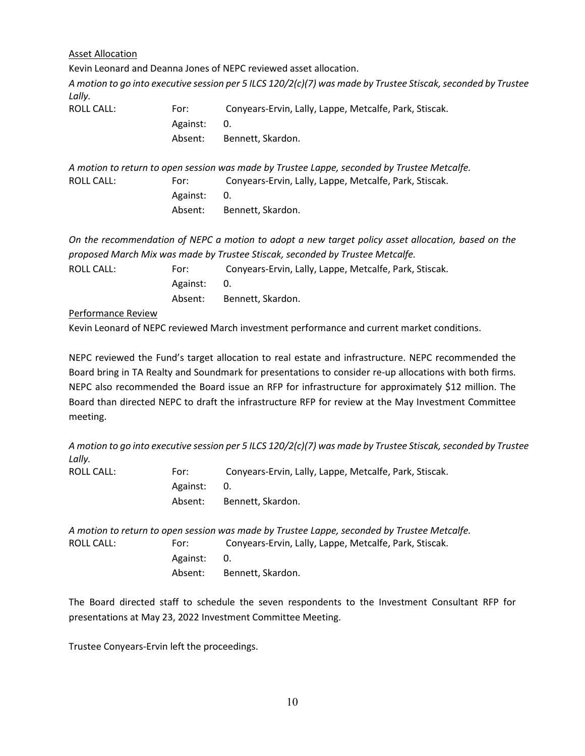Asset Allocation

Kevin Leonard and Deanna Jones of NEPC reviewed asset allocation.

*A motion to go into executive session per 5 ILCS 120/2(c)(7) was made by Trustee Stiscak, seconded by Trustee Lally.*

| ROLL CALL: | For:        | Conyears-Ervin, Lally, Lappe, Metcalfe, Park, Stiscak. |
|------------|-------------|--------------------------------------------------------|
|            | Against: 0. |                                                        |
|            | Absent:     | Bennett, Skardon.                                      |

*A motion to return to open session was made by Trustee Lappe, seconded by Trustee Metcalfe.* ROLL CALL: For: Conyears-Ervin, Lally, Lappe, Metcalfe, Park, Stiscak. Against: 0. Absent: Bennett, Skardon.

*On the recommendation of NEPC a motion to adopt a new target policy asset allocation, based on the proposed March Mix was made by Trustee Stiscak, seconded by Trustee Metcalfe.*

| ROLL CALL: | For:        | Conyears-Ervin, Lally, Lappe, Metcalfe, Park, Stiscak. |
|------------|-------------|--------------------------------------------------------|
|            | Against: 0. |                                                        |
|            | Absent:     | Bennett. Skardon.                                      |

Performance Review

Kevin Leonard of NEPC reviewed March investment performance and current market conditions.

NEPC reviewed the Fund's target allocation to real estate and infrastructure. NEPC recommended the Board bring in TA Realty and Soundmark for presentations to consider re-up allocations with both firms. NEPC also recommended the Board issue an RFP for infrastructure for approximately \$12 million. The Board than directed NEPC to draft the infrastructure RFP for review at the May Investment Committee meeting.

*A motion to go into executive session per 5 ILCS 120/2(c)(7) was made by Trustee Stiscak, seconded by Trustee Lally.*

| ROLL CALL: | For:     | Conyears-Ervin, Lally, Lappe, Metcalfe, Park, Stiscak. |
|------------|----------|--------------------------------------------------------|
|            | Against: | <b>O.</b>                                              |
|            | Absent:  | Bennett. Skardon.                                      |

*A motion to return to open session was made by Trustee Lappe, seconded by Trustee Metcalfe.* ROLL CALL: For: Conyears-Ervin, Lally, Lappe, Metcalfe, Park, Stiscak. Against: 0. Absent: Bennett, Skardon.

The Board directed staff to schedule the seven respondents to the Investment Consultant RFP for presentations at May 23, 2022 Investment Committee Meeting.

Trustee Conyears-Ervin left the proceedings.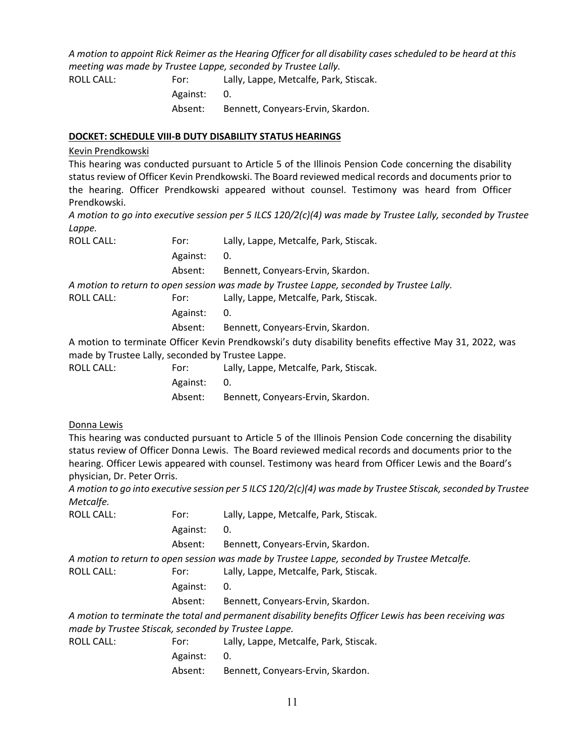*A motion to appoint Rick Reimer as the Hearing Officer for all disability cases scheduled to be heard at this meeting was made by Trustee Lappe, seconded by Trustee Lally.*

ROLL CALL: For: Lally, Lappe, Metcalfe, Park, Stiscak. Against: 0. Absent: Bennett, Conyears-Ervin, Skardon.

#### **DOCKET: SCHEDULE VIII-B DUTY DISABILITY STATUS HEARINGS**

#### Kevin Prendkowski

This hearing was conducted pursuant to Article 5 of the Illinois Pension Code concerning the disability status review of Officer Kevin Prendkowski. The Board reviewed medical records and documents prior to the hearing. Officer Prendkowski appeared without counsel. Testimony was heard from Officer Prendkowski.

*A motion to go into executive session per 5 ILCS 120/2(c)(4) was made by Trustee Lally, seconded by Trustee Lappe.*

| <b>ROLL CALL:</b>                                 | For:     | Lally, Lappe, Metcalfe, Park, Stiscak.                                                                 |
|---------------------------------------------------|----------|--------------------------------------------------------------------------------------------------------|
|                                                   | Against: | 0.                                                                                                     |
|                                                   | Absent:  | Bennett, Conyears-Ervin, Skardon.                                                                      |
|                                                   |          | A motion to return to open session was made by Trustee Lappe, seconded by Trustee Lally.               |
| <b>ROLL CALL:</b>                                 | For:     | Lally, Lappe, Metcalfe, Park, Stiscak.                                                                 |
|                                                   | Against: | 0.                                                                                                     |
|                                                   | Absent:  | Bennett, Conyears-Ervin, Skardon.                                                                      |
|                                                   |          | A motion to terminate Officer Kevin Prendkowski's duty disability benefits effective May 31, 2022, was |
| made by Trustee Lally, seconded by Trustee Lappe. |          |                                                                                                        |
| <b>ROLL CALL:</b>                                 | For:     | Lally, Lappe, Metcalfe, Park, Stiscak.                                                                 |
|                                                   | Against: | 0.                                                                                                     |
|                                                   | Absent:  | Bennett, Conyears-Ervin, Skardon.                                                                      |

# Donna Lewis

This hearing was conducted pursuant to Article 5 of the Illinois Pension Code concerning the disability status review of Officer Donna Lewis. The Board reviewed medical records and documents prior to the hearing. Officer Lewis appeared with counsel. Testimony was heard from Officer Lewis and the Board's physician, Dr. Peter Orris.

*A motion to go into executive session per 5 ILCS 120/2(c)(4) was made by Trustee Stiscak, seconded by Trustee Metcalfe.*

| <b>ROLL CALL:</b>                                   | For:     | Lally, Lappe, Metcalfe, Park, Stiscak.                                                                 |
|-----------------------------------------------------|----------|--------------------------------------------------------------------------------------------------------|
|                                                     | Against: | 0.                                                                                                     |
|                                                     | Absent:  | Bennett, Conyears-Ervin, Skardon.                                                                      |
|                                                     |          | A motion to return to open session was made by Trustee Lappe, seconded by Trustee Metcalfe.            |
| <b>ROLL CALL:</b>                                   | For:     | Lally, Lappe, Metcalfe, Park, Stiscak.                                                                 |
|                                                     | Against: | 0.                                                                                                     |
|                                                     | Absent:  | Bennett, Conyears-Ervin, Skardon.                                                                      |
|                                                     |          | A motion to terminate the total and permanent disability benefits Officer Lewis has been receiving was |
| made by Trustee Stiscak, seconded by Trustee Lappe. |          |                                                                                                        |
| <b>ROLL CALL:</b>                                   | For:     | Lally, Lappe, Metcalfe, Park, Stiscak.                                                                 |

Against: 0. Absent: Bennett, Conyears-Ervin, Skardon.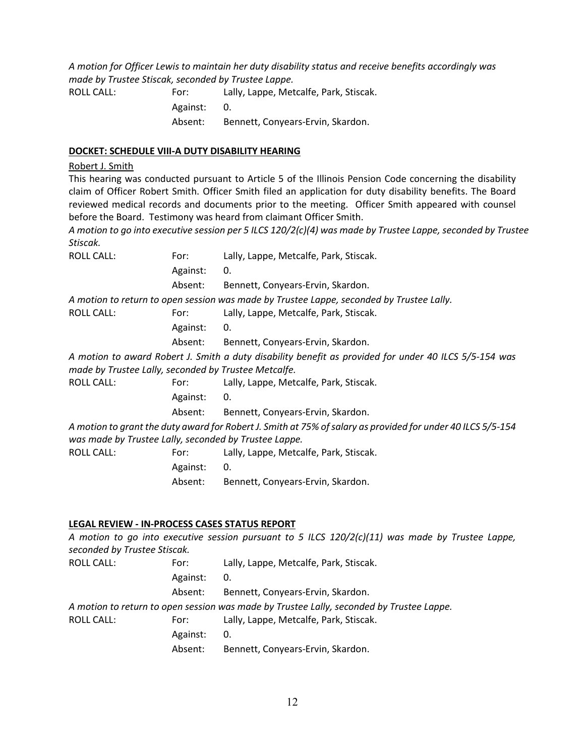*A motion for Officer Lewis to maintain her duty disability status and receive benefits accordingly was made by Trustee Stiscak, seconded by Trustee Lappe.*

ROLL CALL: For: Lally, Lappe, Metcalfe, Park, Stiscak.

Against: 0.

Absent: Bennett, Conyears-Ervin, Skardon.

#### **DOCKET: SCHEDULE VIII-A DUTY DISABILITY HEARING**

#### Robert J. Smith

This hearing was conducted pursuant to Article 5 of the Illinois Pension Code concerning the disability claim of Officer Robert Smith. Officer Smith filed an application for duty disability benefits. The Board reviewed medical records and documents prior to the meeting. Officer Smith appeared with counsel before the Board. Testimony was heard from claimant Officer Smith.

*A motion to go into executive session per 5 ILCS 120/2(c)(4) was made by Trustee Lappe, seconded by Trustee Stiscak.*

| <b>ROLL CALL:</b>                                    | For:     | Lally, Lappe, Metcalfe, Park, Stiscak.                                                                      |
|------------------------------------------------------|----------|-------------------------------------------------------------------------------------------------------------|
|                                                      | Against: | 0.                                                                                                          |
|                                                      | Absent:  | Bennett, Conyears-Ervin, Skardon.                                                                           |
|                                                      |          | A motion to return to open session was made by Trustee Lappe, seconded by Trustee Lally.                    |
| <b>ROLL CALL:</b>                                    | For:     | Lally, Lappe, Metcalfe, Park, Stiscak.                                                                      |
|                                                      | Against: | 0.                                                                                                          |
|                                                      | Absent:  | Bennett, Conyears-Ervin, Skardon.                                                                           |
| made by Trustee Lally, seconded by Trustee Metcalfe. |          | A motion to award Robert J. Smith a duty disability benefit as provided for under 40 ILCS 5/5-154 was       |
| <b>ROLL CALL:</b>                                    | For:     | Lally, Lappe, Metcalfe, Park, Stiscak.                                                                      |
|                                                      | Against: | 0.                                                                                                          |
|                                                      | Absent:  | Bennett, Conyears-Ervin, Skardon.                                                                           |
|                                                      |          | A motion to grant the duty award for Robert J. Smith at 75% of salary as provided for under 40 ILCS 5/5-154 |

*was made by Trustee Lally, seconded by Trustee Lappe.*

ROLL CALL: For: Lally, Lappe, Metcalfe, Park, Stiscak. Against: 0. Absent: Bennett, Conyears-Ervin, Skardon.

# **LEGAL REVIEW - IN-PROCESS CASES STATUS REPORT**

| seconded by Trustee Stiscak. |          | A motion to go into executive session pursuant to 5 ILCS 120/2(c)(11) was made by Trustee Lappe, |
|------------------------------|----------|--------------------------------------------------------------------------------------------------|
| <b>ROLL CALL:</b>            | For:     | Lally, Lappe, Metcalfe, Park, Stiscak.                                                           |
|                              | Against: | 0.                                                                                               |
|                              | Absent:  | Bennett, Conyears-Ervin, Skardon.                                                                |
|                              |          | A motion to return to open session was made by Trustee Lally, seconded by Trustee Lappe.         |
| <b>ROLL CALL:</b>            | For:     | Lally, Lappe, Metcalfe, Park, Stiscak.                                                           |
|                              | Against: | 0.                                                                                               |
|                              | Absent:  | Bennett, Conyears-Ervin, Skardon.                                                                |